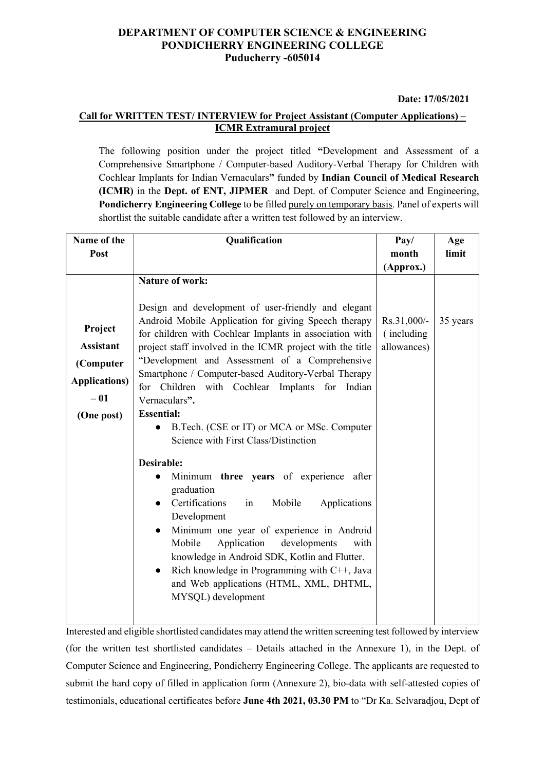### DEPARTMENT OF COMPUTER SCIENCE & ENGINEERING PONDICHERRY ENGINEERING COLLEGE Puducherry -605014

#### Date: 17/05/2021

### Call for WRITTEN TEST/ INTERVIEW for Project Assistant (Computer Applications) – ICMR Extramural project

The following position under the project titled "Development and Assessment of a Comprehensive Smartphone / Computer-based Auditory-Verbal Therapy for Children with Cochlear Implants for Indian Vernaculars" funded by Indian Council of Medical Research (ICMR) in the Dept. of ENT, JIPMER and Dept. of Computer Science and Engineering, Pondicherry Engineering College to be filled purely on temporary basis. Panel of experts will shortlist the suitable candidate after a written test followed by an interview.

| Name of the                                                                             | Qualification                                                                                                                                                                                                                                                                                                                                                                                                                                                                                                                                                                                                                                                                                                                                                                                                                                                                                                                                                                              | Pay/                                      | Age      |
|-----------------------------------------------------------------------------------------|--------------------------------------------------------------------------------------------------------------------------------------------------------------------------------------------------------------------------------------------------------------------------------------------------------------------------------------------------------------------------------------------------------------------------------------------------------------------------------------------------------------------------------------------------------------------------------------------------------------------------------------------------------------------------------------------------------------------------------------------------------------------------------------------------------------------------------------------------------------------------------------------------------------------------------------------------------------------------------------------|-------------------------------------------|----------|
| Post                                                                                    |                                                                                                                                                                                                                                                                                                                                                                                                                                                                                                                                                                                                                                                                                                                                                                                                                                                                                                                                                                                            | month                                     | limit    |
|                                                                                         |                                                                                                                                                                                                                                                                                                                                                                                                                                                                                                                                                                                                                                                                                                                                                                                                                                                                                                                                                                                            | (Approx.)                                 |          |
|                                                                                         | <b>Nature of work:</b>                                                                                                                                                                                                                                                                                                                                                                                                                                                                                                                                                                                                                                                                                                                                                                                                                                                                                                                                                                     |                                           |          |
| Project<br><b>Assistant</b><br>(Computer<br><b>Applications)</b><br>$-01$<br>(One post) | Design and development of user-friendly and elegant<br>Android Mobile Application for giving Speech therapy<br>for children with Cochlear Implants in association with<br>project staff involved in the ICMR project with the title<br>"Development and Assessment of a Comprehensive<br>Smartphone / Computer-based Auditory-Verbal Therapy<br>for Children with Cochlear Implants for<br>Indian<br>Vernaculars".<br><b>Essential:</b><br>B.Tech. (CSE or IT) or MCA or MSc. Computer<br>Science with First Class/Distinction<br>Desirable:<br>Minimum three years of experience after<br>$\bullet$<br>graduation<br>Certifications<br>Mobile<br>Applications<br>in<br>$\bullet$<br>Development<br>Minimum one year of experience in Android<br>$\bullet$<br>Application<br>Mobile<br>developments<br>with<br>knowledge in Android SDK, Kotlin and Flutter.<br>Rich knowledge in Programming with C++, Java<br>$\bullet$<br>and Web applications (HTML, XML, DHTML,<br>MYSQL) development | Rs.31,000/-<br>(including)<br>allowances) | 35 years |
|                                                                                         |                                                                                                                                                                                                                                                                                                                                                                                                                                                                                                                                                                                                                                                                                                                                                                                                                                                                                                                                                                                            |                                           |          |

Interested and eligible shortlisted candidates may attend the written screening test followed by interview (for the written test shortlisted candidates – Details attached in the Annexure 1), in the Dept. of Computer Science and Engineering, Pondicherry Engineering College. The applicants are requested to submit the hard copy of filled in application form (Annexure 2), bio-data with self-attested copies of testimonials, educational certificates before June 4th 2021, 03.30 PM to "Dr Ka. Selvaradjou, Dept of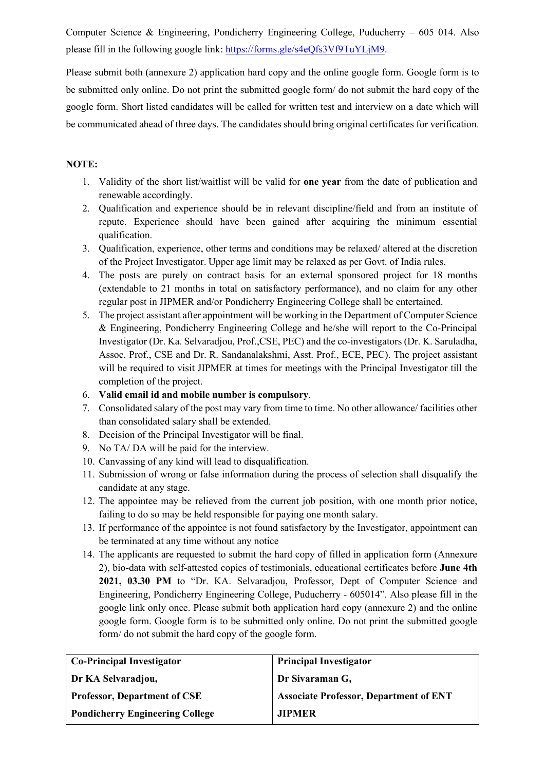Computer Science & Engineering, Pondicherry Engineering College, Puducherry – 605 014. Also please fill in the following google link: https://forms.gle/s4eQfs3Vf9TuYLjM9.

Please submit both (annexure 2) application hard copy and the online google form. Google form is to be submitted only online. Do not print the submitted google form/ do not submit the hard copy of the google form. Short listed candidates will be called for written test and interview on a date which will be communicated ahead of three days. The candidates should bring original certificates for verification.

### NOTE:

- 1. Validity of the short list/waitlist will be valid for one year from the date of publication and renewable accordingly.
- 2. Qualification and experience should be in relevant discipline/field and from an institute of repute. Experience should have been gained after acquiring the minimum essential qualification.
- 3. Qualification, experience, other terms and conditions may be relaxed/ altered at the discretion of the Project Investigator. Upper age limit may be relaxed as per Govt. of India rules.
- 4. The posts are purely on contract basis for an external sponsored project for 18 months (extendable to 21 months in total on satisfactory performance), and no claim for any other regular post in JIPMER and/or Pondicherry Engineering College shall be entertained.
- 5. The project assistant after appointment will be working in the Department of Computer Science & Engineering, Pondicherry Engineering College and he/she will report to the Co-Principal Investigator (Dr. Ka. Selvaradjou, Prof.,CSE, PEC) and the co-investigators (Dr. K. Saruladha, Assoc. Prof., CSE and Dr. R. Sandanalakshmi, Asst. Prof., ECE, PEC). The project assistant will be required to visit JIPMER at times for meetings with the Principal Investigator till the completion of the project.
- 6. Valid email id and mobile number is compulsory.
- 7. Consolidated salary of the post may vary from time to time. No other allowance/ facilities other than consolidated salary shall be extended.
- 8. Decision of the Principal Investigator will be final.
- 9. No TA/ DA will be paid for the interview.
- 10. Canvassing of any kind will lead to disqualification.
- 11. Submission of wrong or false information during the process of selection shall disqualify the candidate at any stage.
- 12. The appointee may be relieved from the current job position, with one month prior notice, failing to do so may be held responsible for paying one month salary.
- 13. If performance of the appointee is not found satisfactory by the Investigator, appointment can be terminated at any time without any notice
- 14. The applicants are requested to submit the hard copy of filled in application form (Annexure 2), bio-data with self-attested copies of testimonials, educational certificates before June 4th 2021, 03.30 PM to "Dr. KA. Selvaradjou, Professor, Dept of Computer Science and Engineering, Pondicherry Engineering College, Puducherry - 605014". Also please fill in the google link only once. Please submit both application hard copy (annexure 2) and the online google form. Google form is to be submitted only online. Do not print the submitted google form/ do not submit the hard copy of the google form.

| <b>Principal Investigator</b>                 |
|-----------------------------------------------|
| Dr Sivaraman G,                               |
| <b>Associate Professor, Department of ENT</b> |
| <b>JIPMER</b>                                 |
|                                               |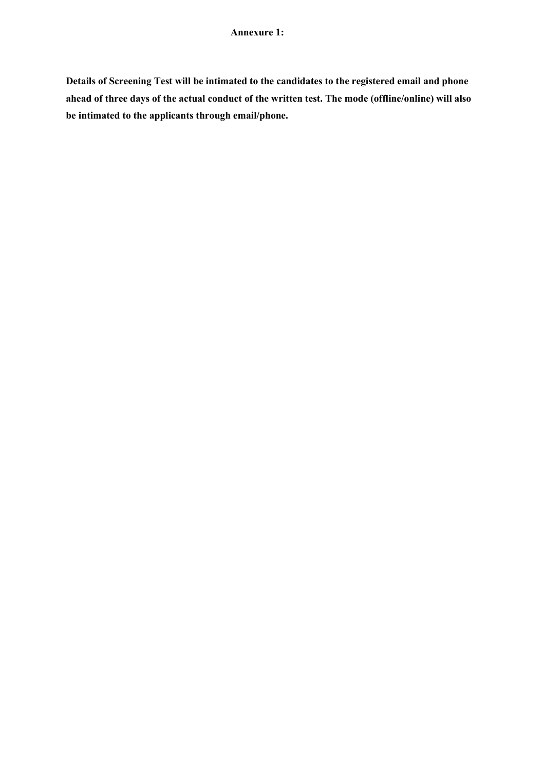Details of Screening Test will be intimated to the candidates to the registered email and phone ahead of three days of the actual conduct of the written test. The mode (offline/online) will also be intimated to the applicants through email/phone.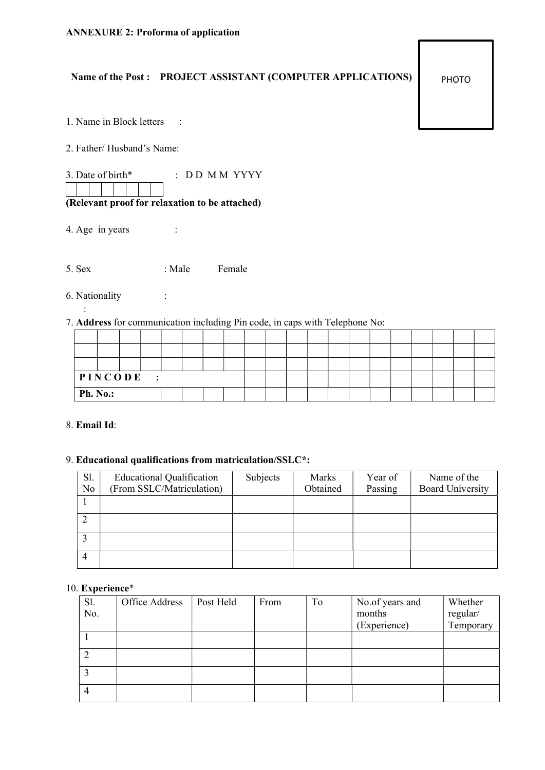# Name of the Post : PROJECT ASSISTANT (COMPUTER APPLICATIONS)

PHOTO

|  |  |  |  | 1. Name in Block letters |  |
|--|--|--|--|--------------------------|--|
|--|--|--|--|--------------------------|--|

2. Father/ Husband's Name:

3. Date of birth\* : DD M M YYYY

# (Relevant proof for relaxation to be attached)

4. Age in years :

5. Sex : Male Female

6. Nationality :

:

## 7. Address for communication including Pin code, in caps with Telephone No:

| PINCODE<br>$\ddot{\cdot}$ |  |  |  |  |  |  |  |  |  |  |  |  |  |  |
|---------------------------|--|--|--|--|--|--|--|--|--|--|--|--|--|--|
| <b>Ph. No.:</b>           |  |  |  |  |  |  |  |  |  |  |  |  |  |  |

### 8. Email Id:

### 9. Educational qualifications from matriculation/SSLC\*:

| Sl.<br>N <sub>o</sub> | <b>Educational Qualification</b><br>(From SSLC/Matriculation) | Subjects | Marks<br>Obtained | Year of<br>Passing | Name of the<br><b>Board University</b> |
|-----------------------|---------------------------------------------------------------|----------|-------------------|--------------------|----------------------------------------|
|                       |                                                               |          |                   |                    |                                        |
| ◠                     |                                                               |          |                   |                    |                                        |
| ◠                     |                                                               |          |                   |                    |                                        |
| $\overline{4}$        |                                                               |          |                   |                    |                                        |

### 10. Experience\*

| Sl. | Office Address | Post Held | From | To | No.of years and | Whether   |
|-----|----------------|-----------|------|----|-----------------|-----------|
| No. |                |           |      |    | months          | regular/  |
|     |                |           |      |    | (Experience)    | Temporary |
|     |                |           |      |    |                 |           |
|     |                |           |      |    |                 |           |
|     |                |           |      |    |                 |           |
|     |                |           |      |    |                 |           |